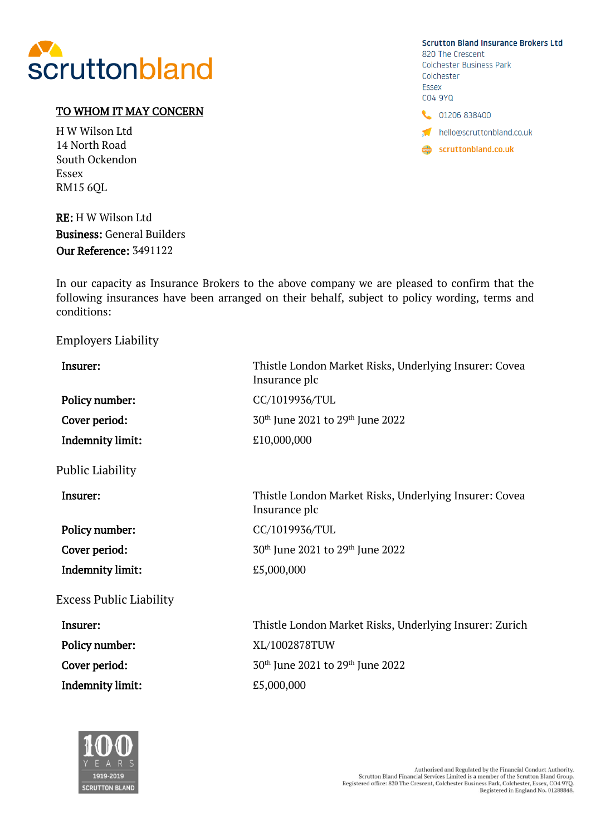

## TO WHOM IT MAY CONCERN

H W Wilson Ltd 14 North Road South Ockendon Essex RM15 6QL

RE: H W Wilson Ltd Business: General Builders Our Reference: 3491122



In our capacity as Insurance Brokers to the above company we are pleased to confirm that the following insurances have been arranged on their behalf, subject to policy wording, terms and conditions:

## Employers Liability

| Insurer:                       | Thistle London Market Risks, Underlying Insurer: Covea<br>Insurance plc |
|--------------------------------|-------------------------------------------------------------------------|
| Policy number:                 | CC/1019936/TUL                                                          |
| Cover period:                  | 30 <sup>th</sup> June 2021 to 29 <sup>th</sup> June 2022                |
| <b>Indemnity limit:</b>        | £10,000,000                                                             |
| Public Liability               |                                                                         |
| Insurer:                       | Thistle London Market Risks, Underlying Insurer: Covea<br>Insurance plc |
| Policy number:                 | CC/1019936/TUL                                                          |
| Cover period:                  | 30 <sup>th</sup> June 2021 to 29 <sup>th</sup> June 2022                |
| <b>Indemnity limit:</b>        | £5,000,000                                                              |
| <b>Excess Public Liability</b> |                                                                         |
| Insurer:                       | Thistle London Market Risks, Underlying Insurer: Zurich                 |
| Policy number:                 | XL/1002878TUW                                                           |
| Cover period:                  | 30 <sup>th</sup> June 2021 to 29 <sup>th</sup> June 2022                |
| <b>Indemnity limit:</b>        | £5,000,000                                                              |
|                                |                                                                         |